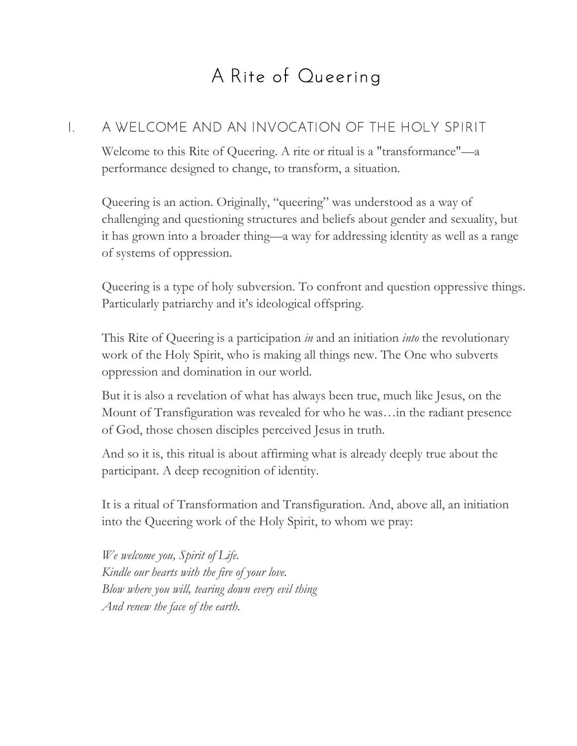# A Rite of Queering

## I. A WELCOME AND AN INVOCATION OF THE HOLY SPIRIT

Welcome to this Rite of Queering. A rite or ritual is a "transformance"—a performance designed to change, to transform, a situation.

Queering is an action. Originally, "queering" was understood as a way of challenging and questioning structures and beliefs about gender and sexuality, but it has grown into a broader thing—a way for addressing identity as well as a range of systems of oppression.

Queering is a type of holy subversion. To confront and question oppressive things. Particularly patriarchy and it's ideological offspring.

This Rite of Queering is a participation *in* and an initiation *into* the revolutionary work of the Holy Spirit, who is making all things new. The One who subverts oppression and domination in our world.

But it is also a revelation of what has always been true, much like Jesus, on the Mount of Transfiguration was revealed for who he was…in the radiant presence of God, those chosen disciples perceived Jesus in truth.

And so it is, this ritual is about affirming what is already deeply true about the participant. A deep recognition of identity.

It is a ritual of Transformation and Transfiguration. And, above all, an initiation into the Queering work of the Holy Spirit, to whom we pray:

*We welcome you, Spirit of Life. Kindle our hearts with the fire of your love. Blow where you will, tearing down every evil thing And renew the face of the earth.*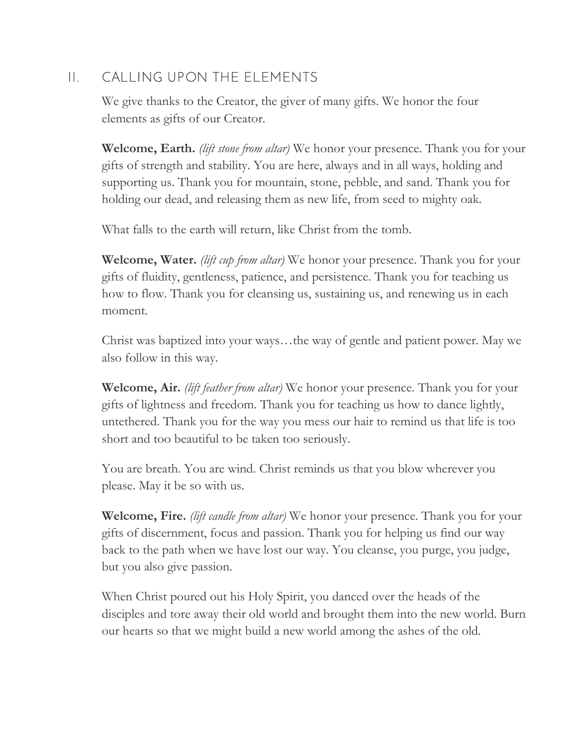## II. CALLING UPON THE ELEMENTS

We give thanks to the Creator, the giver of many gifts. We honor the four elements as gifts of our Creator.

**Welcome, Earth.** *(lift stone from altar)* We honor your presence. Thank you for your gifts of strength and stability. You are here, always and in all ways, holding and supporting us. Thank you for mountain, stone, pebble, and sand. Thank you for holding our dead, and releasing them as new life, from seed to mighty oak.

What falls to the earth will return, like Christ from the tomb.

**Welcome, Water.** *(lift cup from altar)* We honor your presence. Thank you for your gifts of fluidity, gentleness, patience, and persistence. Thank you for teaching us how to flow. Thank you for cleansing us, sustaining us, and renewing us in each moment.

Christ was baptized into your ways…the way of gentle and patient power. May we also follow in this way.

**Welcome, Air.** *(lift feather from altar)* We honor your presence. Thank you for your gifts of lightness and freedom. Thank you for teaching us how to dance lightly, untethered. Thank you for the way you mess our hair to remind us that life is too short and too beautiful to be taken too seriously.

You are breath. You are wind. Christ reminds us that you blow wherever you please. May it be so with us.

**Welcome, Fire.** *(lift candle from altar)* We honor your presence. Thank you for your gifts of discernment, focus and passion. Thank you for helping us find our way back to the path when we have lost our way. You cleanse, you purge, you judge, but you also give passion.

When Christ poured out his Holy Spirit, you danced over the heads of the disciples and tore away their old world and brought them into the new world. Burn our hearts so that we might build a new world among the ashes of the old.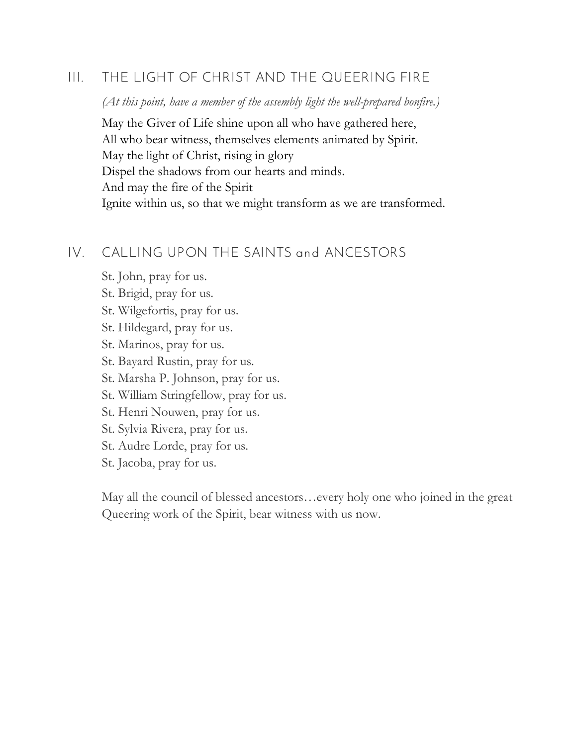## III. THE LIGHT OF CHRIST AND THE QUEERING FIRE

*(At this point, have a member of the assembly light the well-prepared bonfire.)*

May the Giver of Life shine upon all who have gathered here, All who bear witness, themselves elements animated by Spirit. May the light of Christ, rising in glory Dispel the shadows from our hearts and minds. And may the fire of the Spirit Ignite within us, so that we might transform as we are transformed.

## IV. CALLING UPON THE SAINTS and ANCESTORS

St. John, pray for us.

St. Brigid, pray for us.

St. Wilgefortis, pray for us.

St. Hildegard, pray for us.

St. Marinos, pray for us.

St. Bayard Rustin, pray for us.

St. Marsha P. Johnson, pray for us.

St. William Stringfellow, pray for us.

St. Henri Nouwen, pray for us.

St. Sylvia Rivera, pray for us.

St. Audre Lorde, pray for us.

St. Jacoba, pray for us.

May all the council of blessed ancestors…every holy one who joined in the great Queering work of the Spirit, bear witness with us now.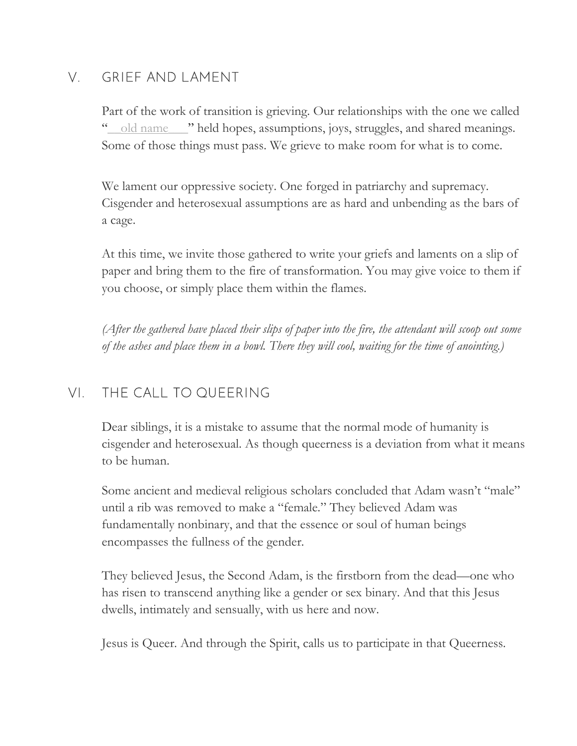# V. GRIEF AND LAMENT

Part of the work of transition is grieving. Our relationships with the one we called " $\_$ old name  $\_$ " held hopes, assumptions, joys, struggles, and shared meanings. Some of those things must pass. We grieve to make room for what is to come.

We lament our oppressive society. One forged in patriarchy and supremacy. Cisgender and heterosexual assumptions are as hard and unbending as the bars of a cage.

At this time, we invite those gathered to write your griefs and laments on a slip of paper and bring them to the fire of transformation. You may give voice to them if you choose, or simply place them within the flames.

*(After the gathered have placed their slips of paper into the fire, the attendant will scoop out some of the ashes and place them in a bowl. There they will cool, waiting for the time of anointing.)*

# VI. THE CALL TO QUEERING

Dear siblings, it is a mistake to assume that the normal mode of humanity is cisgender and heterosexual. As though queerness is a deviation from what it means to be human.

Some ancient and medieval religious scholars concluded that Adam wasn't "male" until a rib was removed to make a "female." They believed Adam was fundamentally nonbinary, and that the essence or soul of human beings encompasses the fullness of the gender.

They believed Jesus, the Second Adam, is the firstborn from the dead—one who has risen to transcend anything like a gender or sex binary. And that this Jesus dwells, intimately and sensually, with us here and now.

Jesus is Queer. And through the Spirit, calls us to participate in that Queerness.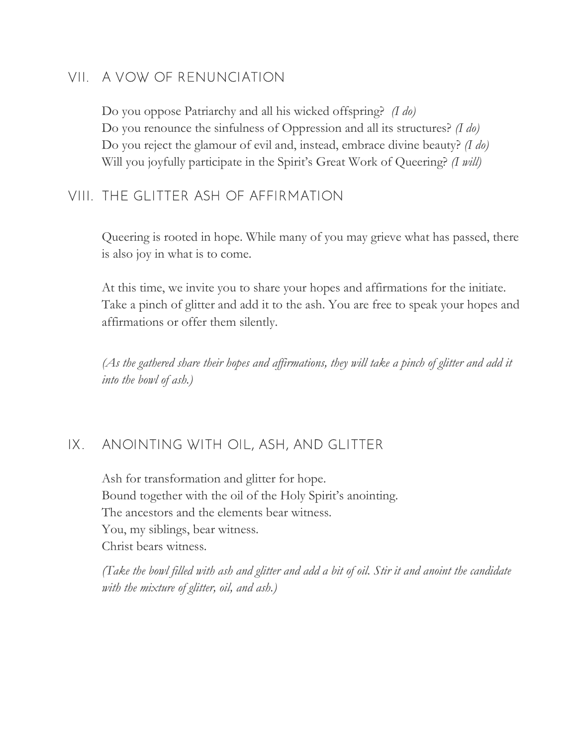## VII. A VOW OF RENUNCIATION

Do you oppose Patriarchy and all his wicked offspring? *(I do)* Do you renounce the sinfulness of Oppression and all its structures? *(I do)* Do you reject the glamour of evil and, instead, embrace divine beauty? *(I do)* Will you joyfully participate in the Spirit's Great Work of Queering? *(I will)*

## VIII. THE GLITTER ASH OF AFFIRMATION

Queering is rooted in hope. While many of you may grieve what has passed, there is also joy in what is to come.

At this time, we invite you to share your hopes and affirmations for the initiate. Take a pinch of glitter and add it to the ash. You are free to speak your hopes and affirmations or offer them silently.

*(As the gathered share their hopes and affirmations, they will take a pinch of glitter and add it into the bowl of ash.)*

#### IX. ANOINTING WITH OIL, ASH, AND GLITTER

Ash for transformation and glitter for hope. Bound together with the oil of the Holy Spirit's anointing. The ancestors and the elements bear witness. You, my siblings, bear witness. Christ bears witness.

*(Take the bowl filled with ash and glitter and add a bit of oil. Stir it and anoint the candidate with the mixture of glitter, oil, and ash.)*